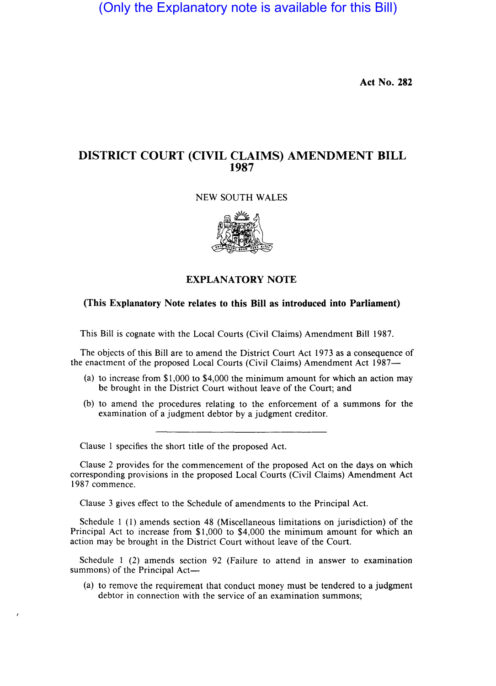(Only the Explanatory note is available for this Bill)

Act No. 282

## DISTRICT COURT (CIVIL CLAIMS) AMENDMENT BILL 1987

## NEW SOUTH WALES



## EXPLANATORY NOTE

## (This Explanatory Note relates to this Bill as introduced into Parliament)

This Bill is cognate with the Local Courts (Civil Claims) Amendment Bill 1987.

The objects of this Bill are to amend the District Court Act 1973 as a consequence of the enactment of the proposed Local Courts (Civil Claims) Amendment Act 1987-

- (a) to increase from \$1,000 to \$4,000 the minimum amount for which an action may be brought in the District Court without leave of the Court; and
- (b) to amend the procedures relating to the enforcement of a summons for the examination of a judgment debtor by a judgment creditor.

Clause 1 specifies the short title of the proposed Act.

Clause 2 provides for the commencement of the proposed Act on the days on which corresponding provisions in the proposed Local Courts (Civil Claims) Amendment Act 1987 commence.

Clause 3 gives effect to the Schedule of amendments to the Principal Act.

Schedule I (1) amends section 48 (Miscellaneous limitations on jurisdiction) of the Principal Act to increase from \$1,000 to \$4,000 the minimum amount for which an action may be brought in the District Court without leave of the Court.

Schedule 1 (2) amends section 92 (Failure to attend in answer to examination summons) of the Principal Act-

(a) to remove the requirement that conduct money must be tendered to a judgment debtor in connection with the service of an examination summons;